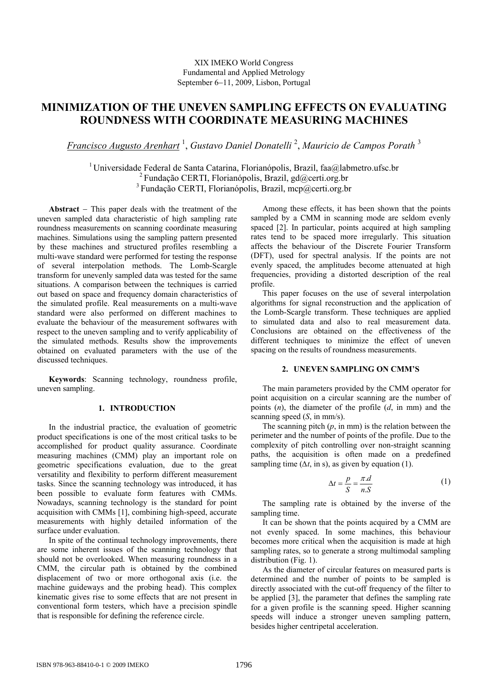# **MINIMIZATION OF THE UNEVEN SAMPLING EFFECTS ON EVALUATING ROUNDNESS WITH COORDINATE MEASURING MACHINES**

*Francisco Augusto Arenhart* <sup>1</sup> , *Gustavo Daniel Donatelli* <sup>2</sup> , *Mauricio de Campos Porath* <sup>3</sup>

<sup>1</sup> Universidade Federal de Santa Catarina, Florianópolis, Brazil, faa@labmetro.ufsc.br <sup>2</sup> Fundação CERTI, Florianópolis, Brazil, gd@certi.org.br <sup>3</sup> Fundação CERTI, Florianópolis, Brazil, mcp@certi.org.br

**Abstract** − This paper deals with the treatment of the uneven sampled data characteristic of high sampling rate roundness measurements on scanning coordinate measuring machines. Simulations using the sampling pattern presented by these machines and structured profiles resembling a multi-wave standard were performed for testing the response of several interpolation methods. The Lomb-Scargle transform for unevenly sampled data was tested for the same situations. A comparison between the techniques is carried out based on space and frequency domain characteristics of the simulated profile. Real measurements on a multi-wave standard were also performed on different machines to evaluate the behaviour of the measurement softwares with respect to the uneven sampling and to verify applicability of the simulated methods. Results show the improvements obtained on evaluated parameters with the use of the discussed techniques.

**Keywords**: Scanning technology, roundness profile, uneven sampling.

## **1. INTRODUCTION**

In the industrial practice, the evaluation of geometric product specifications is one of the most critical tasks to be accomplished for product quality assurance. Coordinate measuring machines (CMM) play an important role on geometric specifications evaluation, due to the great versatility and flexibility to perform different measurement tasks. Since the scanning technology was introduced, it has been possible to evaluate form features with CMMs. Nowadays, scanning technology is the standard for point acquisition with CMMs [1], combining high-speed, accurate measurements with highly detailed information of the surface under evaluation.

In spite of the continual technology improvements, there are some inherent issues of the scanning technology that should not be overlooked. When measuring roundness in a CMM, the circular path is obtained by the combined displacement of two or more orthogonal axis (i.e. the machine guideways and the probing head). This complex kinematic gives rise to some effects that are not present in conventional form testers, which have a precision spindle that is responsible for defining the reference circle.

Among these effects, it has been shown that the points sampled by a CMM in scanning mode are seldom evenly spaced [2]. In particular, points acquired at high sampling rates tend to be spaced more irregularly. This situation affects the behaviour of the Discrete Fourier Transform (DFT), used for spectral analysis. If the points are not evenly spaced, the amplitudes become attenuated at high frequencies, providing a distorted description of the real profile.

This paper focuses on the use of several interpolation algorithms for signal reconstruction and the application of the Lomb-Scargle transform. These techniques are applied to simulated data and also to real measurement data. Conclusions are obtained on the effectiveness of the different techniques to minimize the effect of uneven spacing on the results of roundness measurements.

### **2. UNEVEN SAMPLING ON CMM'S**

The main parameters provided by the CMM operator for point acquisition on a circular scanning are the number of points (*n*), the diameter of the profile (*d*, in mm) and the scanning speed (*S*, in mm/s).

The scanning pitch  $(p, \text{ in mm})$  is the relation between the perimeter and the number of points of the profile. Due to the complexity of pitch controlling over non-straight scanning paths, the acquisition is often made on a predefined sampling time ( $\Delta t$ , in s), as given by equation (1).

$$
\Delta t = \frac{p}{S} = \frac{\pi \, d}{n \, S} \tag{1}
$$

The sampling rate is obtained by the inverse of the sampling time.

It can be shown that the points acquired by a CMM are not evenly spaced. In some machines, this behaviour becomes more critical when the acquisition is made at high sampling rates, so to generate a strong multimodal sampling distribution (Fig. 1).

As the diameter of circular features on measured parts is determined and the number of points to be sampled is directly associated with the cut-off frequency of the filter to be applied [3], the parameter that defines the sampling rate for a given profile is the scanning speed. Higher scanning speeds will induce a stronger uneven sampling pattern, besides higher centripetal acceleration.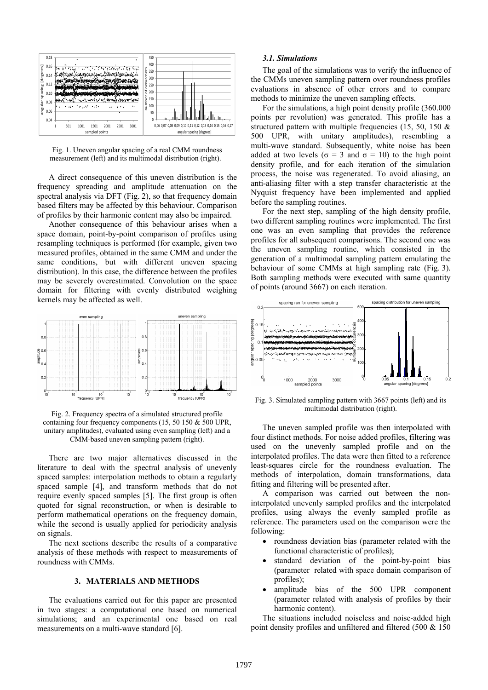

Fig. 1. Uneven angular spacing of a real CMM roundness measurement (left) and its multimodal distribution (right).

A direct consequence of this uneven distribution is the frequency spreading and amplitude attenuation on the spectral analysis via DFT (Fig. 2), so that frequency domain based filters may be affected by this behaviour. Comparison of profiles by their harmonic content may also be impaired.

Another consequence of this behaviour arises when a space domain, point-by-point comparison of profiles using resampling techniques is performed (for example, given two measured profiles, obtained in the same CMM and under the same conditions, but with different uneven spacing distribution). In this case, the difference between the profiles may be severely overestimated. Convolution on the space domain for filtering with evenly distributed weighing kernels may be affected as well.



Fig. 2. Frequency spectra of a simulated structured profile containing four frequency components (15, 50 150 & 500 UPR, unitary amplitudes), evaluated using even sampling (left) and a CMM-based uneven sampling pattern (right).

There are two major alternatives discussed in the literature to deal with the spectral analysis of unevenly spaced samples: interpolation methods to obtain a regularly spaced sample [4], and transform methods that do not require evenly spaced samples [5]. The first group is often quoted for signal reconstruction, or when is desirable to perform mathematical operations on the frequency domain, while the second is usually applied for periodicity analysis on signals.

The next sections describe the results of a comparative analysis of these methods with respect to measurements of roundness with CMMs.

## **3. MATERIALS AND METHODS**

The evaluations carried out for this paper are presented in two stages: a computational one based on numerical simulations; and an experimental one based on real measurements on a multi-wave standard [6].

### *3.1. Simulations*

The goal of the simulations was to verify the influence of the CMMs uneven sampling pattern over roundness profiles evaluations in absence of other errors and to compare methods to minimize the uneven sampling effects.

For the simulations, a high point density profile (360.000 points per revolution) was generated. This profile has a structured pattern with multiple frequencies (15, 50, 150 & 500 UPR, with unitary amplitudes), resembling a multi-wave standard. Subsequently, white noise has been added at two levels ( $\sigma = 3$  and  $\sigma = 10$ ) to the high point density profile, and for each iteration of the simulation process, the noise was regenerated. To avoid aliasing, an anti-aliasing filter with a step transfer characteristic at the Nyquist frequency have been implemented and applied before the sampling routines.

For the next step, sampling of the high density profile, two different sampling routines were implemented. The first one was an even sampling that provides the reference profiles for all subsequent comparisons. The second one was the uneven sampling routine, which consisted in the generation of a multimodal sampling pattern emulating the behaviour of some CMMs at high sampling rate (Fig. 3). Both sampling methods were executed with same quantity of points (around 3667) on each iteration.



Fig. 3. Simulated sampling pattern with 3667 points (left) and its multimodal distribution (right).

The uneven sampled profile was then interpolated with four distinct methods. For noise added profiles, filtering was used on the unevenly sampled profile and on the interpolated profiles. The data were then fitted to a reference least-squares circle for the roundness evaluation. The methods of interpolation, domain transformations, data fitting and filtering will be presented after.

A comparison was carried out between the noninterpolated unevenly sampled profiles and the interpolated profiles, using always the evenly sampled profile as reference. The parameters used on the comparison were the following:

- roundness deviation bias (parameter related with the functional characteristic of profiles);
- standard deviation of the point-by-point bias (parameter related with space domain comparison of profiles);
- amplitude bias of the 500 UPR component (parameter related with analysis of profiles by their harmonic content).

The situations included noiseless and noise-added high point density profiles and unfiltered and filtered (500 & 150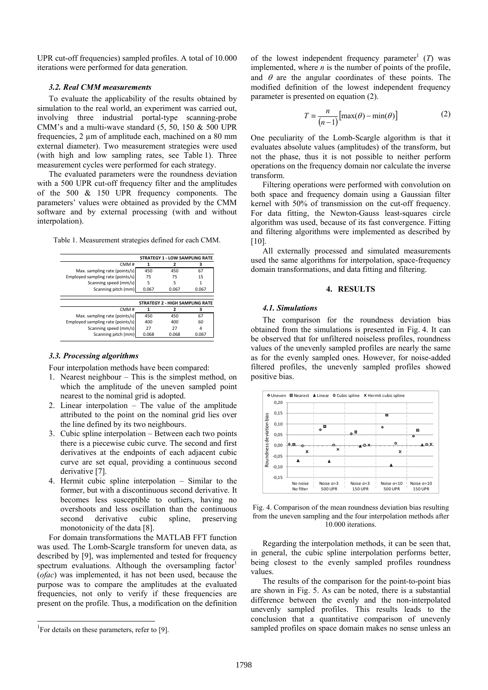UPR cut-off frequencies) sampled profiles. A total of 10.000 iterations were performed for data generation.

## *3.2. Real CMM measurements*

To evaluate the applicability of the results obtained by simulation to the real world, an experiment was carried out, involving three industrial portal-type scanning-probe CMM's and a multi-wave standard  $(5, 50, 150 \& 500 \text{ UPR})$ frequencies, 2 µm of amplitude each, machined on a 80 mm external diameter). Two measurement strategies were used (with high and low sampling rates, see Table 1). Three measurement cycles were performed for each strategy.

The evaluated parameters were the roundness deviation with a 500 UPR cut-off frequency filter and the amplitudes of the 500 & 150 UPR frequency components. The parameters' values were obtained as provided by the CMM software and by external processing (with and without interpolation).

|                                   | <b>STRATEGY 1 - LOW SAMPLING RATE</b> |                                        |       |  |
|-----------------------------------|---------------------------------------|----------------------------------------|-------|--|
| CMM#                              | 1                                     | ,                                      | з     |  |
| Max. sampling rate (points/s)     | 450                                   | 450                                    | 67    |  |
| Employed sampling rate (points/s) | 75                                    | 75                                     | 15    |  |
| Scanning speed (mm/s)             | 5                                     | 5                                      |       |  |
| Scanning pitch (mm)               | 0.067                                 | 0.067                                  | 0.067 |  |
|                                   |                                       |                                        |       |  |
|                                   |                                       |                                        |       |  |
|                                   |                                       | <b>STRATEGY 2 - HIGH SAMPLING RATE</b> |       |  |
| CMM#                              | 1                                     | ,                                      | 3     |  |
| Max. sampling rate (points/s)     | 450                                   | 450                                    | 67    |  |
| Employed sampling rate (points/s) | 400                                   | 400                                    | 60    |  |
| Scanning speed (mm/s)             | 27                                    | 27                                     | Δ     |  |

Table 1. Measurement strategies defined for each CMM.

#### *3.3. Processing algorithms*

Four interpolation methods have been compared:

- 1. Nearest neighbour This is the simplest method, on which the amplitude of the uneven sampled point nearest to the nominal grid is adopted.
- 2. Linear interpolation The value of the amplitude attributed to the point on the nominal grid lies over the line defined by its two neighbours.
- 3. Cubic spline interpolation Between each two points there is a piecewise cubic curve. The second and first derivatives at the endpoints of each adjacent cubic curve are set equal, providing a continuous second derivative [7].
- 4. Hermit cubic spline interpolation Similar to the former, but with a discontinuous second derivative. It becomes less susceptible to outliers, having no overshoots and less oscillation than the continuous second derivative cubic spline, preserving monotonicity of the data [8].

For domain transformations the MATLAB FFT function was used. The Lomb-Scargle transform for uneven data, as described by [9], was implemented and tested for frequency spectrum evaluations. Although the oversampling factor (*ofac*) was implemented, it has not been used, because the purpose was to compare the amplitudes at the evaluated frequencies, not only to verify if these frequencies are present on the profile. Thus, a modification on the definition

1

of the lowest independent frequency parameter<sup>1</sup>  $(T)$  was implemented, where *n* is the number of points of the profile, and  $\theta$  are the angular coordinates of these points. The modified definition of the lowest independent frequency parameter is presented on equation (2).

$$
T = \frac{n}{(n-1)} [\max(\theta) - \min(\theta)] \tag{2}
$$

One peculiarity of the Lomb-Scargle algorithm is that it evaluates absolute values (amplitudes) of the transform, but not the phase, thus it is not possible to neither perform operations on the frequency domain nor calculate the inverse transform.

Filtering operations were performed with convolution on both space and frequency domain using a Gaussian filter kernel with 50% of transmission on the cut-off frequency. For data fitting, the Newton-Gauss least-squares circle algorithm was used, because of its fast convergence. Fitting and filtering algorithms were implemented as described by [10].

All externally processed and simulated measurements used the same algorithms for interpolation, space-frequency domain transformations, and data fitting and filtering.

## **4. RESULTS**

#### *4.1. Simulations*

The comparison for the roundness deviation bias obtained from the simulations is presented in Fig. 4. It can be observed that for unfiltered noiseless profiles, roundness values of the unevenly sampled profiles are nearly the same as for the evenly sampled ones. However, for noise-added filtered profiles, the unevenly sampled profiles showed positive bias.



Fig. 4. Comparison of the mean roundness deviation bias resulting from the uneven sampling and the four interpolation methods after 10.000 iterations.

Regarding the interpolation methods, it can be seen that, in general, the cubic spline interpolation performs better, being closest to the evenly sampled profiles roundness values.

The results of the comparison for the point-to-point bias are shown in Fig. 5. As can be noted, there is a substantial difference between the evenly and the non-interpolated unevenly sampled profiles. This results leads to the conclusion that a quantitative comparison of unevenly sampled profiles on space domain makes no sense unless an

<sup>&</sup>lt;sup>1</sup>For details on these parameters, refer to [9].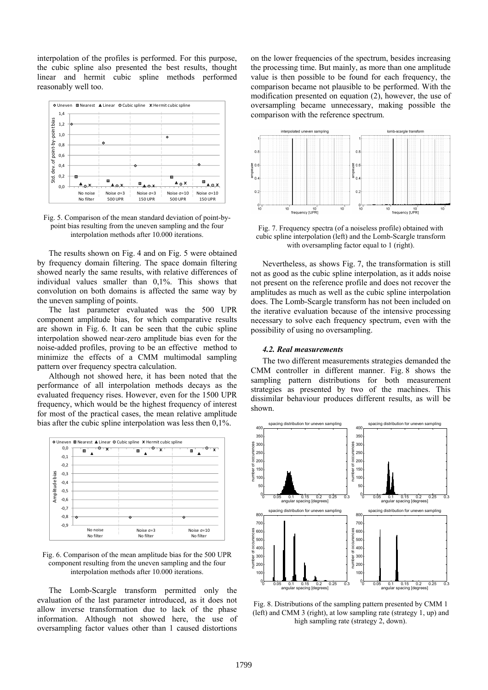interpolation of the profiles is performed. For this purpose, the cubic spline also presented the best results, thought linear and hermit cubic spline methods performed reasonably well too.



Fig. 5. Comparison of the mean standard deviation of point-bypoint bias resulting from the uneven sampling and the four interpolation methods after 10.000 iterations.

The results shown on Fig. 4 and on Fig. 5 were obtained by frequency domain filtering. The space domain filtering showed nearly the same results, with relative differences of individual values smaller than 0,1%. This shows that convolution on both domains is affected the same way by the uneven sampling of points.

The last parameter evaluated was the 500 UPR component amplitude bias, for which comparative results are shown in Fig. 6. It can be seen that the cubic spline interpolation showed near-zero amplitude bias even for the noise-added profiles, proving to be an effective method to minimize the effects of a CMM multimodal sampling pattern over frequency spectra calculation.

Although not showed here, it has been noted that the performance of all interpolation methods decays as the evaluated frequency rises. However, even for the 1500 UPR frequency, which would be the highest frequency of interest for most of the practical cases, the mean relative amplitude bias after the cubic spline interpolation was less then 0,1%.



Fig. 6. Comparison of the mean amplitude bias for the 500 UPR component resulting from the uneven sampling and the four interpolation methods after 10.000 iterations.

The Lomb-Scargle transform permitted only the evaluation of the last parameter introduced, as it does not allow inverse transformation due to lack of the phase information. Although not showed here, the use of oversampling factor values other than 1 caused distortions

on the lower frequencies of the spectrum, besides increasing the processing time. But mainly, as more than one amplitude value is then possible to be found for each frequency, the comparison became not plausible to be performed. With the modification presented on equation (2), however, the use of oversampling became unnecessary, making possible the comparison with the reference spectrum.



Fig. 7. Frequency spectra (of a noiseless profile) obtained with cubic spline interpolation (left) and the Lomb-Scargle transform with oversampling factor equal to 1 (right).

Nevertheless, as shows Fig. 7, the transformation is still not as good as the cubic spline interpolation, as it adds noise not present on the reference profile and does not recover the amplitudes as much as well as the cubic spline interpolation does. The Lomb-Scargle transform has not been included on the iterative evaluation because of the intensive processing necessary to solve each frequency spectrum, even with the possibility of using no oversampling.

## *4.2. Real measurements*

The two different measurements strategies demanded the CMM controller in different manner. Fig. 8 shows the sampling pattern distributions for both measurement strategies as presented by two of the machines. This dissimilar behaviour produces different results, as will be shown.



Fig. 8. Distributions of the sampling pattern presented by CMM 1 (left) and CMM 3 (right), at low sampling rate (strategy 1, up) and high sampling rate (strategy 2, down).